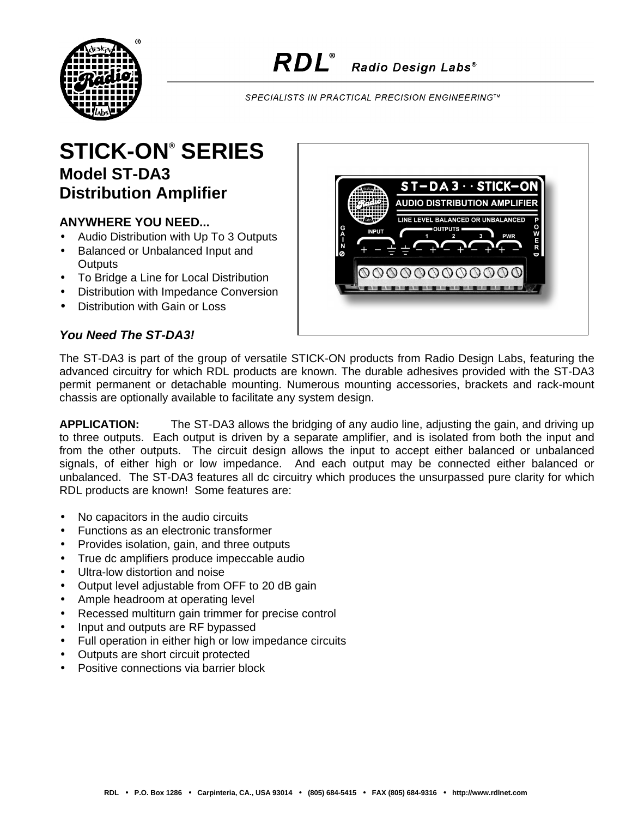

SPECIALISTS IN PRACTICAL PRECISION ENGINEERING™

## **STICK-ON® SERIES Model ST-DA3 Distribution Amplifier**

## **ANYWHERE YOU NEED...**

- Audio Distribution with Up To 3 Outputs
- Balanced or Unbalanced Input and **Outputs**
- To Bridge a Line for Local Distribution
- Distribution with Impedance Conversion
- Distribution with Gain or Loss

## *You Need The ST-DA3!*



The ST-DA3 is part of the group of versatile STICK-ON products from Radio Design Labs, featuring the advanced circuitry for which RDL products are known. The durable adhesives provided with the ST-DA3 permit permanent or detachable mounting. Numerous mounting accessories, brackets and rack-mount chassis are optionally available to facilitate any system design.

**APPLICATION:** The ST-DA3 allows the bridging of any audio line, adjusting the gain, and driving up to three outputs. Each output is driven by a separate amplifier, and is isolated from both the input and from the other outputs. The circuit design allows the input to accept either balanced or unbalanced signals, of either high or low impedance. And each output may be connected either balanced or unbalanced. The ST-DA3 features all dc circuitry which produces the unsurpassed pure clarity for which RDL products are known! Some features are:

- No capacitors in the audio circuits
- Functions as an electronic transformer
- Provides isolation, gain, and three outputs
- True dc amplifiers produce impeccable audio
- Ultra-low distortion and noise
- Output level adjustable from OFF to 20 dB gain
- Ample headroom at operating level
- Recessed multiturn gain trimmer for precise control
- Input and outputs are RF bypassed
- Full operation in either high or low impedance circuits
- Outputs are short circuit protected
- Positive connections via barrier block